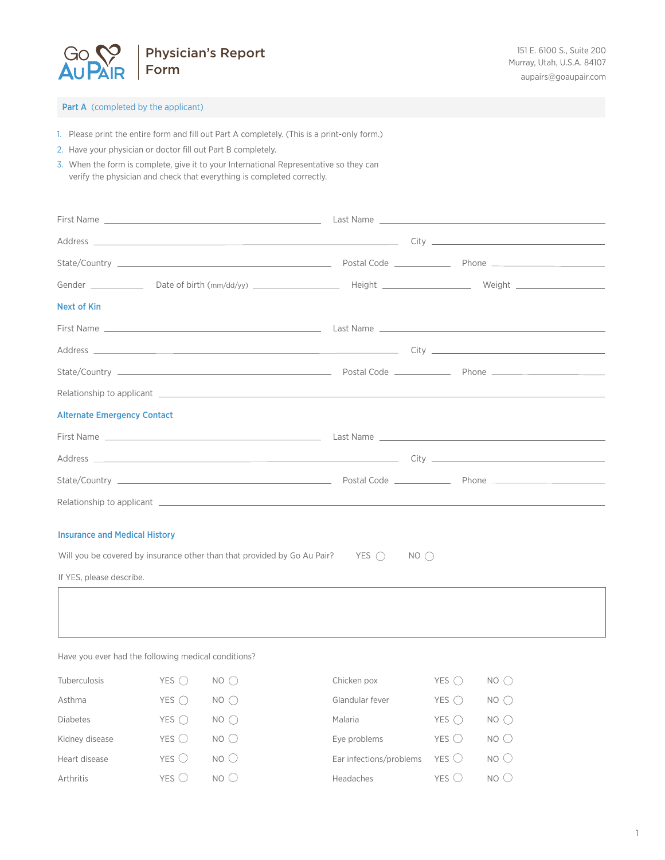

# Part A (completed by the applicant)

- 1. Please print the entire form and fill out Part A completely. (This is a print-only form.)
- 2. Have your physician or doctor fill out Part B completely.

Arthritis  $YES$   $\bigcirc$  NO  $\bigcirc$ 

3. When the form is complete, give it to your International Representative so they can verify the physician and check that everything is completed correctly.

| Next of Kin                                                              |                |                 |                         |                |                 |  |
|--------------------------------------------------------------------------|----------------|-----------------|-------------------------|----------------|-----------------|--|
|                                                                          |                |                 |                         |                |                 |  |
|                                                                          |                |                 |                         |                |                 |  |
|                                                                          |                |                 |                         |                |                 |  |
|                                                                          |                |                 |                         |                |                 |  |
| <b>Alternate Emergency Contact</b>                                       |                |                 |                         |                |                 |  |
|                                                                          |                |                 |                         |                |                 |  |
|                                                                          |                |                 |                         |                |                 |  |
|                                                                          |                |                 |                         |                |                 |  |
|                                                                          |                |                 |                         |                |                 |  |
|                                                                          |                |                 |                         |                |                 |  |
| <b>Insurance and Medical History</b>                                     |                |                 |                         |                |                 |  |
| Will you be covered by insurance other than that provided by Go Au Pair? |                |                 | YES ()<br>NO()          |                |                 |  |
| If YES, please describe.                                                 |                |                 |                         |                |                 |  |
|                                                                          |                |                 |                         |                |                 |  |
|                                                                          |                |                 |                         |                |                 |  |
|                                                                          |                |                 |                         |                |                 |  |
| Have you ever had the following medical conditions?                      |                |                 |                         |                |                 |  |
| Tuberculosis                                                             | YES $\bigcap$  | NO()            | Chicken pox             | YES $\bigcap$  | $NO$ $\bigcirc$ |  |
| Asthma                                                                   | YES $\bigcap$  | $NO$ $\bigcirc$ | Glandular fever         | YES $\bigcap$  | $NO$ $\bigcirc$ |  |
| <b>Diabetes</b>                                                          | YES $\bigcap$  | NO()            | Malaria                 | YES $\bigcap$  | NO()            |  |
| Kidney disease                                                           | YES ()         | NO()            | Eye problems            | YES $\bigcirc$ | NO()            |  |
| Heart disease                                                            | YES $\bigcirc$ | NO <sub>O</sub> | Ear infections/problems | YES $\bigcirc$ | NO()            |  |

Headaches  $YES$  NO  $\bigcirc$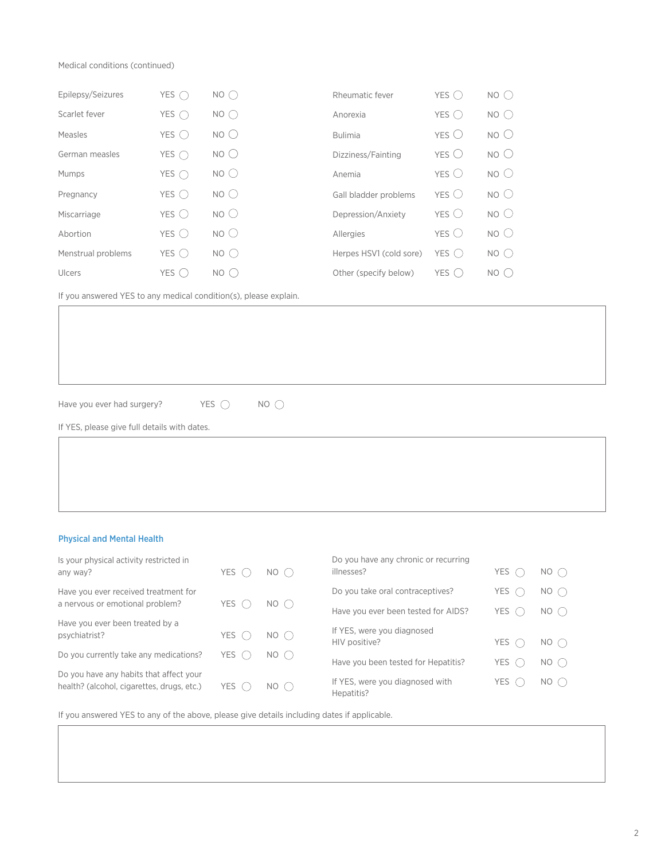Medical conditions (continued)

| Epilepsy/Seizures  | YES $\subset$  | $NO$ $\cap$     | Rheumatic fever         | YES $\subset$    | $NO$ $\bigcirc$ |
|--------------------|----------------|-----------------|-------------------------|------------------|-----------------|
| Scarlet fever      | YES $\cap$     | NO <sub>o</sub> | Anorexia                | YES $\bigcap$    | $NO$ $\bigcirc$ |
| Measles            | YES $\bigcirc$ | NO()            | <b>Bulimia</b>          | $YES$ $C$        | NO()            |
| German measles     | YES $\bigcap$  | NO <sub>O</sub> | Dizziness/Fainting      | $YES$ $\bigcirc$ | NO <sub>O</sub> |
| Mumps              | YES $\bigcap$  | NO()            | Anemia                  | $YES$ $C$        | NO <sub>O</sub> |
| Pregnancy          | YES $\bigcirc$ | NO()            | Gall bladder problems   | YES (            | NO()            |
| Miscarriage        | YES $\bigcirc$ | NO()            | Depression/Anxiety      | $YES$ $\bigcirc$ | NO()            |
| Abortion           | YES $\bigcirc$ | NO()            | Allergies               | YES (            | NO()            |
| Menstrual problems | YES $()$       | NO()            | Herpes HSV1 (cold sore) | YES $\bigcap$    | NO()            |
| Ulcers             | YES $\bigcap$  | NO ( )          | Other (specify below)   | YES (            | NO ( )          |

If you answered YES to any medical condition(s), please explain.

Have you ever had surgery? YES  $\bigcirc$  NO  $\bigcirc$ 

If YES, please give full details with dates.

# Physical and Mental Health

| Is your physical activity restricted in                                               |               |                 | Do you have any chronic or recurring          |       |                |
|---------------------------------------------------------------------------------------|---------------|-----------------|-----------------------------------------------|-------|----------------|
| any way?                                                                              | <b>YES</b>    | $NO$ $\bigcirc$ | illnesses?                                    | YES   | $NO$ $\bigcap$ |
| Have you ever received treatment for                                                  | <b>YES</b>    |                 | Do you take oral contraceptives?              | YES ( | $NO$ $\bigcap$ |
| a nervous or emotional problem?                                                       |               | NO()            | Have you ever been tested for AIDS?           | YES ( | NO()           |
| Have you ever been treated by a                                                       |               |                 | If YES, were you diagnosed                    |       |                |
| psychiatrist?                                                                         | <b>YES</b>    | $NO$ $\bigcirc$ | HIV positive?                                 | YES ( | $NO$ $\bigcap$ |
| Do you currently take any medications?                                                | YES $\subset$ | $NO$ $\bigcap$  |                                               |       |                |
|                                                                                       |               |                 | Have you been tested for Hepatitis?           | YES ( | $NO$ $\bigcap$ |
| Do you have any habits that affect your<br>health? (alcohol, cigarettes, drugs, etc.) | <b>YES</b>    | NO()            | If YES, were you diagnosed with<br>Hepatitis? | YES ( | $NO$ $\bigcap$ |

If you answered YES to any of the above, please give details including dates if applicable.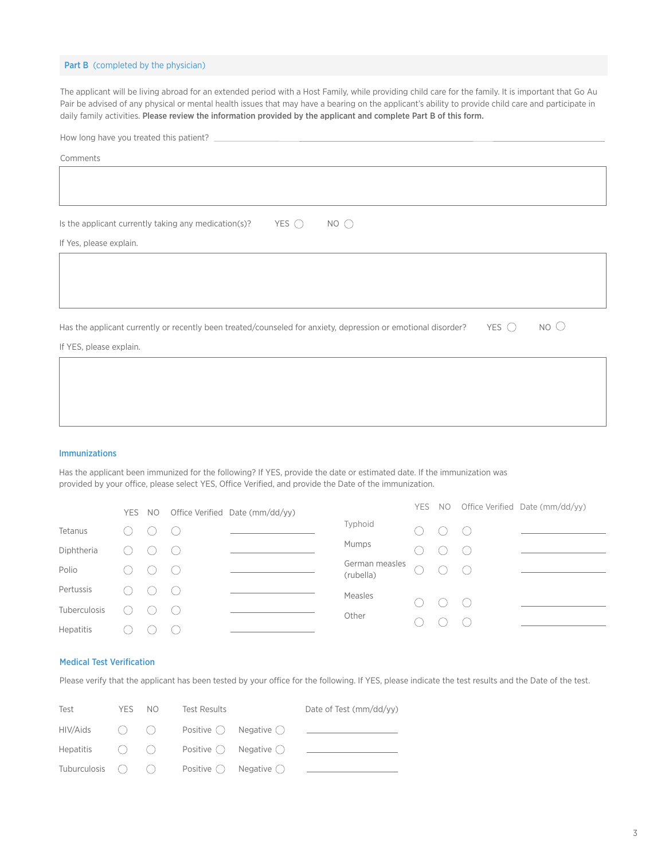### Part B (completed by the physician)

The applicant will be living abroad for an extended period with a Host Family, while providing child care for the family. It is important that Go Au Pair be advised of any physical or mental health issues that may have a bearing on the applicant's ability to provide child care and participate in daily family activities. Please review the information provided by the applicant and complete Part B of this form.

| How long have you treated this patient?                                                                                                            |
|----------------------------------------------------------------------------------------------------------------------------------------------------|
| Comments                                                                                                                                           |
|                                                                                                                                                    |
|                                                                                                                                                    |
|                                                                                                                                                    |
| $YES$ $\bigcap$<br>$NO$ $\bigcirc$<br>Is the applicant currently taking any medication(s)?                                                         |
| If Yes, please explain.                                                                                                                            |
|                                                                                                                                                    |
|                                                                                                                                                    |
|                                                                                                                                                    |
|                                                                                                                                                    |
| NO <sub>O</sub><br>YES $\bigcirc$<br>Has the applicant currently or recently been treated/counseled for anxiety, depression or emotional disorder? |
| If YES, please explain.                                                                                                                            |

## Immunizations

Has the applicant been immunized for the following? If YES, provide the date or estimated date. If the immunization was provided by your office, please select YES, Office Verified, and provide the Date of the immunization.

|                  | YES NO |                        | Office Verified Date (mm/dd/yy) |                             | YES NO |                                             | Office Verified Date (mm/dd/yy) |
|------------------|--------|------------------------|---------------------------------|-----------------------------|--------|---------------------------------------------|---------------------------------|
| Tetanus          |        | $\left( \quad \right)$ |                                 | Typhoid                     | $($ )  | $\left(\begin{array}{c} \end{array}\right)$ |                                 |
| Diphtheria       |        |                        |                                 | Mumps                       |        | ( )                                         |                                 |
| Polio            |        | (                      |                                 | German measles<br>(rubella) |        |                                             |                                 |
| Pertussis        |        | (                      |                                 | Measles                     |        |                                             |                                 |
| Tuberculosis     |        | (                      |                                 | Other                       | $(\ )$ | $\bigcirc$                                  |                                 |
| <b>Hepatitis</b> |        |                        |                                 |                             |        |                                             |                                 |

#### Medical Test Verification

Please verify that the applicant has been tested by your office for the following. If YES, please indicate the test results and the Date of the test.

| Test                   | YES NO | <b>Test Results</b> |                                                 | Date of Test $\frac{mm}{dd/yy}$ |
|------------------------|--------|---------------------|-------------------------------------------------|---------------------------------|
|                        |        |                     |                                                 |                                 |
|                        |        |                     | Hepatitis $()$ $()$ Positive $()$ Negative $()$ |                                 |
| Tuburculosis $\bigcap$ |        |                     | Positive $()$ Negative $()$                     |                                 |